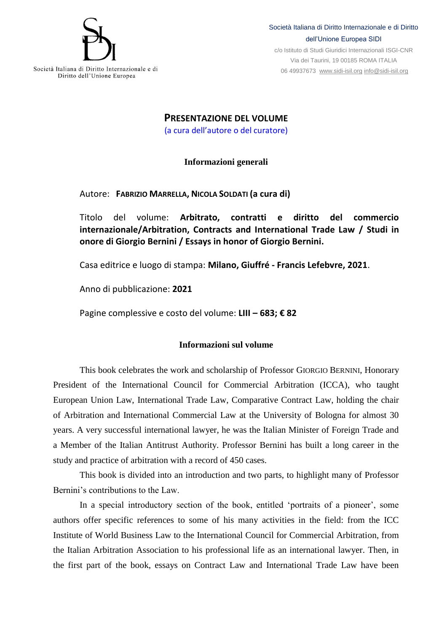

c/o Istituto di Studi Giuridici Internazionali ISGI-CNR Via dei Taurini, 19 00185 ROMA ITALIA 06 49937673 [www.sidi-isil.org](http://www.sidi-isil.org/) [info@sidi-isil.org](mailto:info@sidi-isil.org)

**PRESENTAZIONE DEL VOLUME** (a cura dell'autore o del curatore)

**Informazioni generali**

Autore: **FABRIZIO MARRELLA, NICOLA SOLDATI (a cura di)**

Titolo del volume: **Arbitrato, contratti e diritto del commercio internazionale/Arbitration, Contracts and International Trade Law / Studi in onore di Giorgio Bernini / Essays in honor of Giorgio Bernini.**

Casa editrice e luogo di stampa: **Milano, Giuffré - Francis Lefebvre, 2021**.

Anno di pubblicazione: **2021**

Pagine complessive e costo del volume: **LIII – 683; € 82**

## **Informazioni sul volume**

This book celebrates the work and scholarship of Professor GIORGIO BERNINI, Honorary President of the International Council for Commercial Arbitration (ICCA), who taught European Union Law, International Trade Law, Comparative Contract Law, holding the chair of Arbitration and International Commercial Law at the University of Bologna for almost 30 years. A very successful international lawyer, he was the Italian Minister of Foreign Trade and a Member of the Italian Antitrust Authority. Professor Bernini has built a long career in the study and practice of arbitration with a record of 450 cases.

This book is divided into an introduction and two parts, to highlight many of Professor Bernini's contributions to the Law.

In a special introductory section of the book, entitled 'portraits of a pioneer', some authors offer specific references to some of his many activities in the field: from the ICC Institute of World Business Law to the International Council for Commercial Arbitration, from the Italian Arbitration Association to his professional life as an international lawyer. Then, in the first part of the book, essays on Contract Law and International Trade Law have been